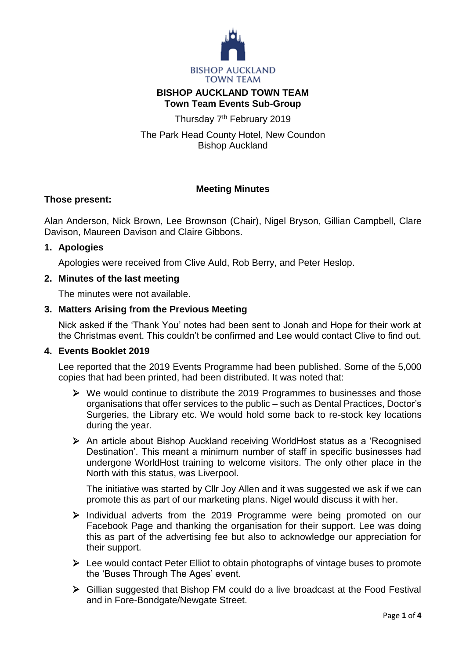

# **BISHOP AUCKLAND TOWN TEAM Town Team Events Sub-Group**

Thursday 7<sup>th</sup> February 2019

The Park Head County Hotel, New Coundon Bishop Auckland

# **Meeting Minutes**

# **Those present:**

Alan Anderson, Nick Brown, Lee Brownson (Chair), Nigel Bryson, Gillian Campbell, Clare Davison, Maureen Davison and Claire Gibbons.

## **1. Apologies**

Apologies were received from Clive Auld, Rob Berry, and Peter Heslop.

# **2. Minutes of the last meeting**

The minutes were not available.

# **3. Matters Arising from the Previous Meeting**

Nick asked if the 'Thank You' notes had been sent to Jonah and Hope for their work at the Christmas event. This couldn't be confirmed and Lee would contact Clive to find out.

## **4. Events Booklet 2019**

Lee reported that the 2019 Events Programme had been published. Some of the 5,000 copies that had been printed, had been distributed. It was noted that:

- $\triangleright$  We would continue to distribute the 2019 Programmes to businesses and those organisations that offer services to the public – such as Dental Practices, Doctor's Surgeries, the Library etc. We would hold some back to re-stock key locations during the year.
- An article about Bishop Auckland receiving WorldHost status as a 'Recognised Destination'. This meant a minimum number of staff in specific businesses had undergone WorldHost training to welcome visitors. The only other place in the North with this status, was Liverpool.

The initiative was started by Cllr Joy Allen and it was suggested we ask if we can promote this as part of our marketing plans. Nigel would discuss it with her.

- $\triangleright$  Individual adverts from the 2019 Programme were being promoted on our Facebook Page and thanking the organisation for their support. Lee was doing this as part of the advertising fee but also to acknowledge our appreciation for their support.
- $\triangleright$  Lee would contact Peter Elliot to obtain photographs of vintage buses to promote the 'Buses Through The Ages' event.
- Gillian suggested that Bishop FM could do a live broadcast at the Food Festival and in Fore-Bondgate/Newgate Street.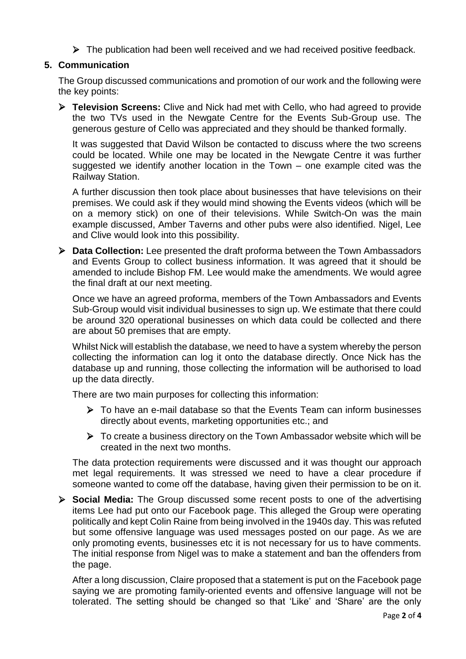$\triangleright$  The publication had been well received and we had received positive feedback.

## **5. Communication**

The Group discussed communications and promotion of our work and the following were the key points:

 **Television Screens:** Clive and Nick had met with Cello, who had agreed to provide the two TVs used in the Newgate Centre for the Events Sub-Group use. The generous gesture of Cello was appreciated and they should be thanked formally.

It was suggested that David Wilson be contacted to discuss where the two screens could be located. While one may be located in the Newgate Centre it was further suggested we identify another location in the Town – one example cited was the Railway Station.

A further discussion then took place about businesses that have televisions on their premises. We could ask if they would mind showing the Events videos (which will be on a memory stick) on one of their televisions. While Switch-On was the main example discussed, Amber Taverns and other pubs were also identified. Nigel, Lee and Clive would look into this possibility.

 **Data Collection:** Lee presented the draft proforma between the Town Ambassadors and Events Group to collect business information. It was agreed that it should be amended to include Bishop FM. Lee would make the amendments. We would agree the final draft at our next meeting.

Once we have an agreed proforma, members of the Town Ambassadors and Events Sub-Group would visit individual businesses to sign up. We estimate that there could be around 320 operational businesses on which data could be collected and there are about 50 premises that are empty.

Whilst Nick will establish the database, we need to have a system whereby the person collecting the information can log it onto the database directly. Once Nick has the database up and running, those collecting the information will be authorised to load up the data directly.

There are two main purposes for collecting this information:

- $\triangleright$  To have an e-mail database so that the Events Team can inform businesses directly about events, marketing opportunities etc.; and
- $\triangleright$  To create a business directory on the Town Ambassador website which will be created in the next two months.

The data protection requirements were discussed and it was thought our approach met legal requirements. It was stressed we need to have a clear procedure if someone wanted to come off the database, having given their permission to be on it.

 **Social Media:** The Group discussed some recent posts to one of the advertising items Lee had put onto our Facebook page. This alleged the Group were operating politically and kept Colin Raine from being involved in the 1940s day. This was refuted but some offensive language was used messages posted on our page. As we are only promoting events, businesses etc it is not necessary for us to have comments. The initial response from Nigel was to make a statement and ban the offenders from the page.

After a long discussion, Claire proposed that a statement is put on the Facebook page saying we are promoting family-oriented events and offensive language will not be tolerated. The setting should be changed so that 'Like' and 'Share' are the only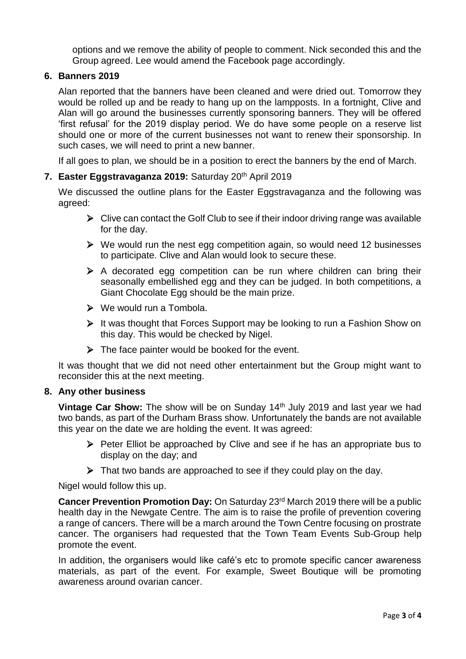options and we remove the ability of people to comment. Nick seconded this and the Group agreed. Lee would amend the Facebook page accordingly.

## **6. Banners 2019**

Alan reported that the banners have been cleaned and were dried out. Tomorrow they would be rolled up and be ready to hang up on the lampposts. In a fortnight, Clive and Alan will go around the businesses currently sponsoring banners. They will be offered 'first refusal' for the 2019 display period. We do have some people on a reserve list should one or more of the current businesses not want to renew their sponsorship. In such cases, we will need to print a new banner.

If all goes to plan, we should be in a position to erect the banners by the end of March.

## **7. Easter Eggstravaganza 2019:** Saturday 20th April 2019

We discussed the outline plans for the Easter Eggstravaganza and the following was agreed:

- $\triangleright$  Clive can contact the Golf Club to see if their indoor driving range was available for the day.
- $\triangleright$  We would run the nest egg competition again, so would need 12 businesses to participate. Clive and Alan would look to secure these.
- $\triangleright$  A decorated egg competition can be run where children can bring their seasonally embellished egg and they can be judged. In both competitions, a Giant Chocolate Egg should be the main prize.
- We would run a Tombola.
- $\triangleright$  It was thought that Forces Support may be looking to run a Fashion Show on this day. This would be checked by Nigel.
- $\triangleright$  The face painter would be booked for the event.

It was thought that we did not need other entertainment but the Group might want to reconsider this at the next meeting.

## **8. Any other business**

**Vintage Car Show:** The show will be on Sunday 14<sup>th</sup> July 2019 and last year we had two bands, as part of the Durham Brass show. Unfortunately the bands are not available this year on the date we are holding the event. It was agreed:

- $\triangleright$  Peter Elliot be approached by Clive and see if he has an appropriate bus to display on the day; and
- $\triangleright$  That two bands are approached to see if they could play on the day.

Nigel would follow this up.

**Cancer Prevention Promotion Day:** On Saturday 23<sup>rd</sup> March 2019 there will be a public health day in the Newgate Centre. The aim is to raise the profile of prevention covering a range of cancers. There will be a march around the Town Centre focusing on prostrate cancer. The organisers had requested that the Town Team Events Sub-Group help promote the event.

In addition, the organisers would like café's etc to promote specific cancer awareness materials, as part of the event. For example, Sweet Boutique will be promoting awareness around ovarian cancer.